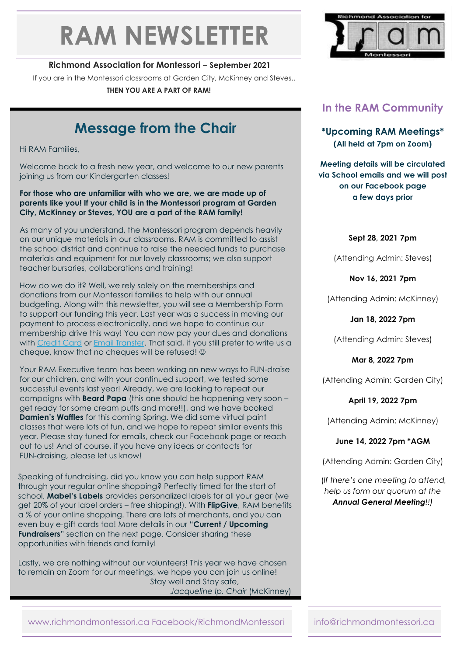# **RAM NEWSLETTER**

#### **Richmond Association for Montessori – September 2021**

If you are in the Montessori classrooms at Garden City, McKinney and Steves..

**THEN YOU ARE A PART OF RAM!**

# **Message from the Chair**

Hi RAM Families,

Welcome back to a fresh new year, and welcome to our new parents joining us from our Kindergarten classes!

#### **For those who are unfamiliar with who we are, we are made up of parents like you! If your child is in the Montessori program at Garden City, McKinney or Steves, YOU are a part of the RAM family!**

As many of you understand, the Montessori program depends heavily on our unique materials in our classrooms. RAM is committed to assist the school district and continue to raise the needed funds to purchase materials and equipment for our lovely classrooms; we also support teacher bursaries, collaborations and training!

How do we do it? Well, we rely solely on the memberships and donations from our Montessori families to help with our annual budgeting. Along with this newsletter, you will see a Membership Form to support our funding this year. Last year was a success in moving our payment to process electronically, and we hope to continue our membership drive this way! You can now pay your dues and donations with [Credit Card](https://bit.ly/2XnhkXm) or [Email Transfer.](https://bit.ly/3Ce6Ng8) That said, if you still prefer to write us a cheque, know that no cheques will be refused!

Your RAM Executive team has been working on new ways to FUN-draise for our children, and with your continued support, we tested some successful events last year! Already, we are looking to repeat our campaigns with **Beard Papa** (this one should be happening very soon – get ready for some cream puffs and more!!), and we have booked **Damien's Waffles** for this coming Spring. We did some virtual paint classes that were lots of fun, and we hope to repeat similar events this year. Please stay tuned for emails, check our Facebook page or reach out to us! And of course, if you have any ideas or contacts for FUN-draising, please let us know!

Speaking of fundraising, did you know you can help support RAM through your regular online shopping? Perfectly timed for the start of school, **Mabel's Labels** provides personalized labels for all your gear (we get 20% of your label orders – free shipping!). With **FlipGive**, RAM benefits a % of your online shopping. There are lots of merchants, and you can even buy e-gift cards too! More details in our "**Current / Upcoming Fundraisers**" section on the next page. Consider sharing these opportunities with friends and family!

Lastly, we are nothing without our volunteers! This year we have chosen to remain on Zoom for our meetings, we hope you can join us online! Stay well and Stay safe, *Jacqueline Ip, Chair* (McKinney)



## **In the RAM Community**

**\*Upcoming RAM Meetings\* (All held at 7pm on Zoom)**

**Meeting details will be circulated via School emails and we will post on our Facebook page a few days prior**

#### **Sept 28, 2021 7pm**

(Attending Admin: Steves)

**Nov 16, 2021 7pm** 

(Attending Admin: McKinney)

**Jan 18, 2022 7pm**

(Attending Admin: Steves)

**Mar 8, 2022 7pm**

(Attending Admin: Garden City)

**April 19, 2022 7pm**

(Attending Admin: McKinney)

#### **June 14, 2022 7pm \*AGM**

(Attending Admin: Garden City)

(*If there's one meeting to attend, help us form our quorum at the Annual General Meeting!!)*